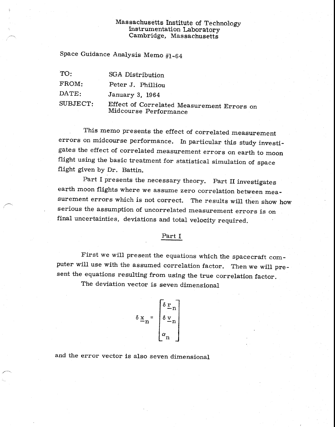### Massachusetts Institute of Technology Instrumentation Laboratory Cambridge, Massachusetts

Space Guidance Analysis Memo #1-64

TO: SGA Distribution

FROM: Peter J. Philliou

DATE: January 3, 1964

SUBJECT: Effect of Correlated Measurement Errors on Midcourse Performance

This memo presents the effect of correlated measurement errors on midcourse performance. In particular this study investigates the effect of correlated measurement errors on earth to moon flight using the basic treatment for statistical simulation of space flight given by Dr. Battin.

Part I presents the necessary theory. Part II investigates earth moon flights where we assume zero correlation between measurement errors which is not correct. The results will then show how serious the assumption of uncorrelated measurement errors is on final uncertainties, deviations and total velocity required.

#### Part I

First we will present the equations which the spacecraft computer will use with the assumed correlation factor. Then we will present the equations resulting from using the true correlation factor.

The deviation vector is seven dimensional

$$
\delta \underline{x}_n = \begin{bmatrix} \delta \underline{r}_n \\ \delta \underline{v}_n \\ \alpha_n \end{bmatrix}
$$

and the error vector is also seven dimensional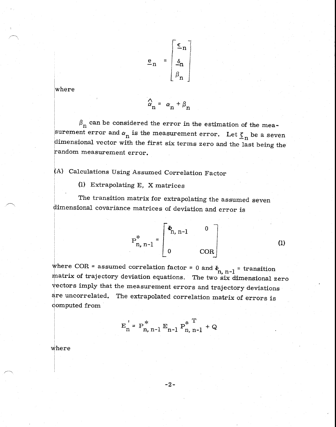$$
\underline{e}_{n} = \begin{bmatrix} \underline{\epsilon}_{n} \\ \underline{\delta}_{n} \\ \beta_{n} \end{bmatrix}
$$

where

$$
\hat{\alpha}_{n} = \alpha_{n} + \beta_{n}
$$

 $\beta_n$  can be considered the error in the estimation of the measurement error and  $\alpha_n$  is the measurement error. Let  $\underline{\zeta}_n$  be a seven dimensional vector with the first six terms zero and the last being the random measurement error.

(A) Calculations Using Assumed Correlation Factor

(1) Extrapolating E, X matrices

The transition matrix for extrapolating the assumed seven dimensional covariance matrices of deviation and error is

$$
P_{n, n-1}^{*} = \begin{bmatrix} \Phi_{n, n-1} & 0 \\ 0 & \text{COR} \end{bmatrix}
$$
 (1)

where COR = assumed correlation factor = 0 and  $\Phi_{n, n-1}$  = transition matrix of trajectory deviation equations. The two six dimensional zero vectors imply that the measurement errors and trajectory deviations are uncorrelated. The extrapolated correlation matrix of errors is computed from

$$
E_{n}^{\prime} = P_{n, n-1}^{*} E_{n-1} P_{n, n-1}^{*} + Q
$$

where

 $-2-$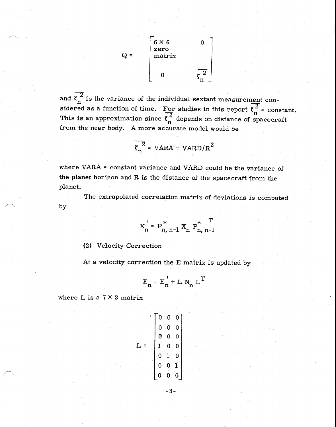

and  $\zeta_n^2$  is the variance of the individual sextant measurement considered as a function of time. For studies in this report  $\zeta_n^2$  = constant. This is an approximation since  $\zeta_n^2$  depends on distance of spacecraft from the near body. A more accurate model would be

$$
\overline{\zeta_n^2} = \text{VARA} + \text{VARD/R}^2
$$

where VARA = constant variance and VARD could be the variance of the planet horizon and R is the distance of the spacecraft from the planet.

The extrapolated correlation matrix of deviations is computed by

$$
X_{n}^{\dagger} = P_{n, n-1}^{*} X_{n} P_{n, n-1}^{*}^T
$$

(2) Velocity Correction

At a velocity correction the E matrix is updated by

$$
\mathbf{E}_n = \mathbf{E}_n^{\top} + \mathbf{L} \mathbf{N}_n \mathbf{L}^T
$$

where  $L$  is a  $7 \times 3$  matrix

$$
L = \begin{bmatrix} 0 & 0 & 0 \\ 0 & 0 & 0 \\ 0 & 0 & 0 \\ 1 & 0 & 0 \\ 0 & 1 & 0 \\ 0 & 0 & 1 \\ 0 & 0 & 0 \end{bmatrix}
$$

-3-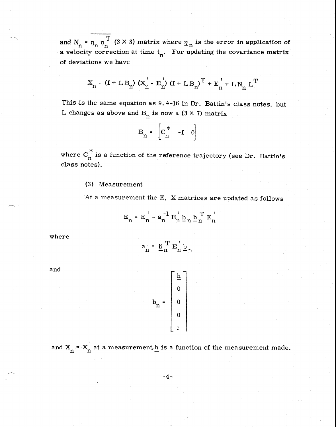and  $N_n = \eta_n \eta_n^{-1}$  (3 × 3) matrix where  $\eta_n$  is the error in application of a velocity correction at time  $t_n$ . For updating the covariance matrix of deviations we have

$$
x_{n} = (I + LB_{n}) (x_{n}^{'} - E_{n}^{'})(I + LB_{n})^{T} + E_{n}^{'} + LN_{n} L^{T}
$$

This is the same equation as 9. 4-16 in Dr. Battin's class notes, but L changes as above and B<sub>n</sub> is now a  $(3 \times 7)$  matrix

| B<br>≃<br>n | ₩<br>C.<br>n |  |  |  |
|-------------|--------------|--|--|--|
|-------------|--------------|--|--|--|

where  $C_n^{\dagger}$  is a function of the reference trajectory (see Dr. Battin's class notes).

### (3) Measurement

At a measurement the E, X matrices are updated as follows

$$
\mathbf{E}_{n} = \mathbf{E}_{n}^{\dagger} - \mathbf{a}_{n}^{-1} \mathbf{E}_{n}^{\dagger} \mathbf{b}_{n} \mathbf{b}_{n}^{\mathrm{T}} \mathbf{E}_{n}^{\dagger}
$$

where

 $a_n = \underline{b}_n^T E_n^{\dagger} \underline{b}_n$ 

and

$$
\mathbf{b}_{n} = \begin{bmatrix} \frac{\mathbf{h}}{\mathbf{0}} \\ 0 \\ 0 \\ 0 \\ 1 \end{bmatrix}
$$

and  $X_n = X_n$  at a measurement, h is a function of the measurement made.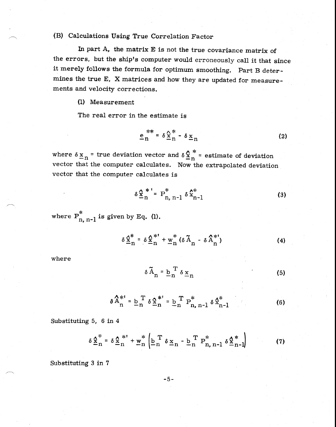### (B) Calculations Using True Correlation Factor

In part A, the matrix E is not the true covariance matrix of the errors, but the ship's computer would erroneously call it that since it merely follows the formula for optimum smoothing. Part B determines the true E, X matrices and how they are updated for measurements and velocity corrections.

(1) Measurement

The real error in the estimate is

$$
\underline{e}_n^{**} = \delta \underline{\hat{x}}_n^* - \delta \underline{x}_n \tag{2}
$$

where  $\delta x_n$  = true deviation vector and  $\delta \frac{\hat{x}}{n}$  = estimate of deviation vector that the computer calculates. Now the extrapolated deviation vector that the computer calculates is

$$
\delta \frac{\chi^{*}}{n} = P_{n, n-1}^{*} \delta \hat{x}_{n-1}^{*}
$$
 (3)

where  $P_{n, n-1}$  is given by Eq. (1).

$$
\delta \frac{\mathbf{x}^*}{\mathbf{n}} = \delta \frac{\mathbf{x}^{*^*}}{\mathbf{n}} + \underline{\mathbf{w}}^*_{\mathbf{n}} (\delta \widetilde{\mathbf{A}}_{\mathbf{n}} - \delta \widetilde{\mathbf{A}}_{\mathbf{n}}^{*^*})
$$
 (4)

where

$$
\delta \widetilde{A}_n = \underline{b}_n^T \delta \underline{x}_n \tag{5}
$$

$$
\delta \hat{A}_{n}^{*} = \underline{b}_{n}^{T} \delta \hat{\underline{x}}_{n}^{*} = \underline{b}_{n}^{T} P_{n,n-1}^{*} \delta \hat{\underline{x}}_{n-1}^{*}
$$
 (6)

Substituting 5, 6 in 4

$$
\delta \underline{\mathbf{\hat{x}}}^*_{n} = \delta \underline{\mathbf{\hat{x}}}^{*}_{n} + \underline{\mathbf{w}}^{*}_{n} \left( \underline{\mathbf{b}}^{T}_{n} \delta \underline{\mathbf{x}}_{n} - \underline{\mathbf{b}}^{T}_{n} \mathbf{P}^{*}_{n,n-1} \delta \underline{\mathbf{\hat{x}}}^{*}_{n-1} \right)
$$
(7)

Substituting 3 in 7

-5-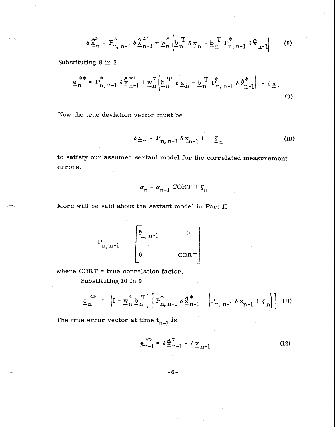$$
\delta \underline{\hat{\mathbf{x}}}_{n}^{*} = \mathbf{P}_{n, n-1}^{*} \delta \underline{\hat{\mathbf{x}}}_{n-1}^{*} + \underline{\mathbf{w}}_{n}^{*} \left( \underline{\mathbf{b}}_{n}^{T} \delta \underline{\mathbf{x}}_{n} - \underline{\mathbf{b}}_{n}^{T} \mathbf{P}_{n, n-1}^{*} \delta \underline{\hat{\mathbf{x}}}_{n-1} \right)
$$
 (8)

Substituting 8 in 2

$$
\underline{e}_{n}^{**} = P_{n,n-1}^{*} \delta \underline{x}_{n-1}^{*} + \underline{w}_{n}^{*} \left( \underline{b}_{n}^{T} \delta \underline{x}_{n} - \underline{b}_{n}^{T} P_{n,n-1}^{*} \delta \underline{x}_{n-1}^{*} \right) - \delta \underline{x}_{n}
$$
\n(9)

Now the true deviation vector must be

$$
\delta \underline{x}_n = P_{n, n-1} \delta \underline{x}_{n-1} + \underline{\xi}_n \tag{10}
$$

to satisfy our assumed sextant model for the correlated measurement errors.

$$
\alpha_{n} = \alpha_{n-1} \text{ CORT} + \zeta_{n}
$$

More will be said about the sextant model in Part II

$$
P_{n, n-1} \qquad \begin{bmatrix} \overline{\Phi}_{n, n-1} & 0 \\ 0 & \text{CORT} \end{bmatrix}
$$

where CORT = true correlation factor. Substituting 10 in 9

$$
\underline{e}_{n}^{***} = \left(I - \underline{w}_{n}^{*} \underline{b}_{n}^{T}\right) \left[P_{n, n-1}^{*} \delta \underline{\hat{X}}_{n-1}^{*} - \left(P_{n, n-1} \delta \underline{x}_{n-1} + \underline{\xi}_{n}\right)\right]
$$
 (11)

The true error vector at time  $t_{n-1}$  is

$$
\underline{e}_{n-1}^{***} = \delta \, \underline{\hat{x}}_{n-1}^{*} - \delta \, \underline{x}_{n-1}
$$
 (12)

$$
-6 -
$$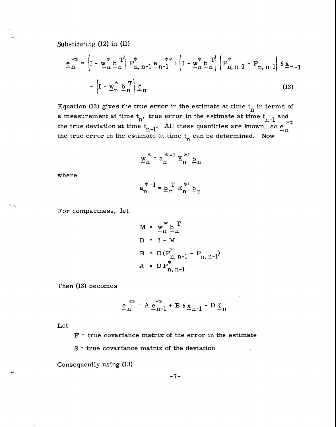Substituting (12) in (11)

$$
\underline{e}_{n}^{**} = \left( I - \underline{w}_{n}^{*} \underline{b}_{n}^{T} \right) P_{n, n-1}^{*} \underline{e}_{n-1}^{**} + \left( I - \underline{w}_{n}^{*} \underline{b}_{n}^{T} \right) \left( P_{n, n-1}^{*} - P_{n, n-1} \right) \delta \underline{x}_{n-1} - \left( I - \underline{w}_{n}^{*} \underline{b}_{n}^{T} \right) \underline{\xi}_{n}
$$
\n(13)

Equation (13) gives the true error in the estimate at time  $t_n$  in terms of the true deviation at time  $t_{n-1}$ . All these quantities are known, so  $e_n^{\pi}$ a measurement at time  $t_n$ , true error in the estimate at time  $t_{n-1}$  and  $t_{n+1}$  and  $t_n$  and  $t_n$  and  $t_n$  and  $t_n$  and  $t_n$  and  $t_n$  and  $t_n$  and  $t_n$  and  $t_n$  and  $t_n$  and  $t_n$  and  $t_n$  and  $t_n$  and  $t_n$  and  $t_n$  a the true error in the estimate at time  $t_n$  can be determined. Now

$$
\underline{w}_{n}^{*} = a_{n}^{*-1} E_{n}^{*!} \underline{b}_{n}
$$

where

$$
a_n^*^{-1} = \underline{b}_n^T E_n^{*'} \underline{b}_n
$$

For compactness, let

$$
M = w_{n}^{*} b_{n}^{T}
$$
  
D = I - M  
B = D(P<sup>\*</sup><sub>n, n-1</sub> - P<sub>n, n-1</sub>)  
A = D P<sup>\*</sup><sub>n, n-1</sub>

Then (13) becomes

$$
\underline{\mathbf{e}}_n^{**} = \mathbf{A} \underline{\mathbf{e}}_{n-1}^{**} + \mathbf{B} \delta \underline{\mathbf{x}}_{n-1} - \mathbf{D} \underline{\mathbf{g}}_n
$$

Let

 $F = true$  covariance matrix of the error in the estimate

S = true covariance matrix of the deviation

Consequently using (13)

-7-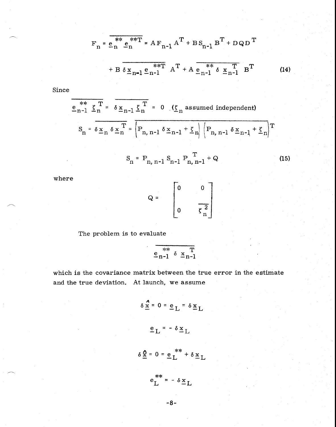$$
F_{n} = \frac{e_{n}^{**} e_{n}^{**} T}{e_{n}^{**} e_{n}^{**} T} = AF_{n-1} A^{T} + B S_{n-1} B^{T} + D Q D^{T}
$$
  
+ 
$$
B \delta \underline{x}_{n-1} e_{n-1}^{**} A^{T} + A \underline{e_{n-1}^{**} \delta \underline{x}_{n-1} T} B^{T}
$$
 (14)

Since

$$
\frac{e_{n-1}^{**} \underline{\zeta}_n^T}{S_n = \delta \underline{x}_n \delta \underline{x}_n^T} = 0 \quad (\underline{\zeta}_n \text{ assumed independent})
$$
\n
$$
S_n = \delta \underline{x}_n \delta \underline{x}_n^T = \boxed{P_{n, n-1} \delta \underline{x}_{n-1} + \underline{\zeta}_n} \boxed{P_{n, n-1} \delta \underline{x}_{n-1} + \underline{\zeta}_n}^T
$$
\n
$$
S_n = P_{n, n-1} S_{n-1} P_{n, n-1}^T + Q
$$
\n(15)

where

$$
Q = \begin{bmatrix} 0 & 0 \\ 0 & \frac{1}{\zeta_n^2} \end{bmatrix}
$$

The problem is to evaluate

\*\* —n-1 —n-1 x

which is the covariance matrix between the true error in the estimate and the true deviation. At launch, we assume

$$
\delta \frac{x}{x} = 0 = e_L = \delta x_L
$$
  

$$
e_L = -\delta x_L
$$
  

$$
\delta \frac{x}{x} = 0 = e_L * * \delta x_L
$$

-8-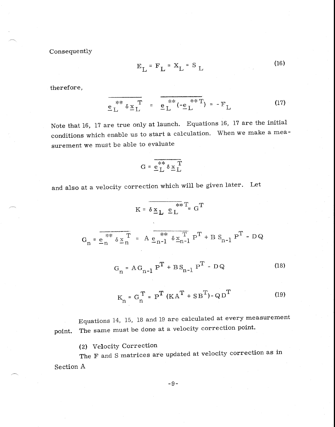Consequently

$$
E_{L} = F_{L} = X_{L} = S_{L}
$$
 (16)

therefore,

$$
\frac{e_L^* \delta \underline{x}_L^T}{\underline{F}} = \frac{e_L^* \left(-\underline{e}_L^* \right)^*}{}(17)
$$

 Note that 16, 17 are true only at launch. Equations 16, 17 are the initial conditions which enable us to start a calculation. When we make a measurement we must be able to evaluate

$$
G = \frac{e^* + e^*}{e^* + e^*}
$$

and also at a velocity correction which will be given later. Let

$$
K = \delta \underline{x}_{L} \underline{e}_{L}^{**} = G^{T}
$$
  
\n
$$
G_{n} = \frac{\sum_{n=1}^{N} \delta \underline{x}_{n}}{\sum_{n=1}^{N} \delta \underline{x}_{n}} = A \underline{e_{n-1}^{**} \delta \underline{x}_{n-1}^{T}} P^{T} + B S_{n-1} P^{T} - DQ
$$
  
\n
$$
G_{n} = AG_{n-1} P^{T} + BS_{n-1} P^{T} - DQ
$$
(18)  
\n
$$
K_{n} = G_{n}^{T} = P^{T} (KA^{T} + SB^{T}) - QD^{T}
$$
(19)

Equations 14, 15, 18 and 19 are calculated at every measurement point. The same must be done at a velocity correction point.

(2) Velocity Correction

The F and S matrices are updated at velocity correction as in Section A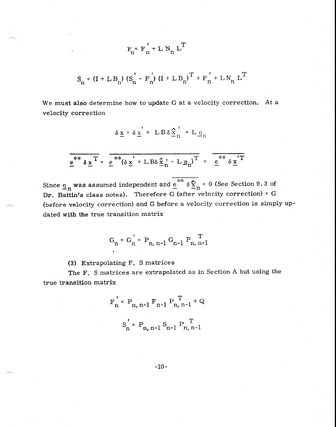$$
S_n = (I + L B_n) (S_n' - F_n') (I + L B_n)^T + F_n' + L N_n L^T
$$

 $F_n = F_n' + L N_n L^T$ 

We must also determine how to update G at a velocity correction. At a velocity correction

$$
\delta \underline{x} = \delta \underline{x}' + \mathbf{L} \mathbf{B} \delta \underline{\hat{x}}_n' - \mathbf{L} \underline{\eta}_n
$$

$$
\frac{e^{**} \delta \underline{x}^T}{e^* \delta \underline{x}^T} = \frac{e^{**} (\delta \underline{x}^T + L B \delta \underline{x}^T - L \underline{\eta}_n)^T}{e^* \delta \underline{x}^T}
$$

Since  $\underline{n}_n$  was assumed independent and  $\underline{e}^{**} \delta \hat{\underline{x}}_n = 0$  (See Section 9.3 of Dr. Battin's class notes). Therefore G (after velocity correction) = G (before velocity correction) and G before a velocity correction is simply updated with the true transition matrix

$$
G_n = G_n' = P_{n, n-1} G_{n-1} P_{n, n-1}
$$

(3) Extrapolating F, S matrices

The F, S matrices are extrapolated as in Section A but using the true transition matrix

$$
F_n' = P_{n, n-1} F_{n-1} P_{n, n-1}^T + Q
$$
  
 $S_n' = P_{n, n-1} S_{n-1} P_{n, n-1}^T$ 

$$
-10-
$$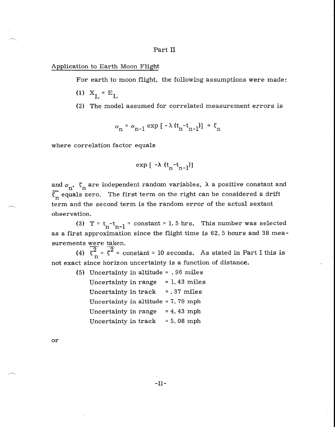### Part II

#### Application to Earth Moon Flight

For earth to moon flight, the following assumptions were made:

(1)  $X_L = E_L$ 

(2) The model assumed for correlated measurement errors is

$$
\alpha_n = \alpha_{n-1} \exp\left[-\lambda \left(t_n - t_{n-1}\right)\right] + \zeta_n
$$

where correlation factor equals

$$
\exp\left[-\lambda(t_n-t_{n-1})\right]
$$

and  $\alpha_n$ ,  $\zeta_n$  are independent random variables,  $\lambda$  a positive constant and  $\overline{\xi_n}$  equals zero. The first term on the right can be considered a drift term and the second term is the random error of the actual sextant observation.

(3) T =  $t_n-t_{n-1}$  = constant = 1.5 hrs. This number was selected as a first approximation since the flight time is 62. 5 hours and 38 measurements were taken.

(4)  $\zeta_n^2 = \zeta^2$  = constant = 10 seconds. As stated in Part I this is not exact since horizon uncertainty is a function of distance.

| (5) | Uncertainty in altitude = . 96 miles |  |               |                |
|-----|--------------------------------------|--|---------------|----------------|
|     | Uncertainty in range                 |  |               | $= 1.43$ miles |
|     | Uncertainty in track                 |  | $= .37$ miles |                |
|     | Uncertainty in altitude = 7.79 mph   |  |               |                |
|     | Uncertainty in range                 |  | $= 4.43$ mph  |                |
|     | Uncertainty in track                 |  | $= 5.08$ mph  |                |
|     |                                      |  |               |                |

or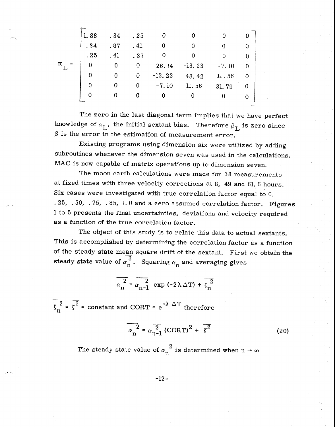|   | 1.88 | . 34 | . 25 |          |          |         |   |  |
|---|------|------|------|----------|----------|---------|---|--|
|   | .34  | .87  | .41  |          | 0        |         |   |  |
|   | .25  | . 41 | .37  |          |          |         |   |  |
| Е | 0    |      | 0    | 26.14    | $-13.23$ | $-7.10$ |   |  |
|   | 0    | 0    | 0    | $-13.23$ | 48.42    | 11.56   | 0 |  |
|   | 0    | O    | 0    | $-7.10$  | 11.56    | 31.79   | 0 |  |
|   |      |      |      |          |          |         | 0 |  |
|   |      |      |      |          |          |         |   |  |

The zero in the last diagonal term implies that we have perfect knowledge of  $\alpha_{\text{I}}$ , the initial sextant bias. Therefore  $\beta_{\text{L}}$  is zero since  $\beta$  is the error in the estimation of measurement error.

Existing programs using dimension six were utilized by adding subroutines whenever the dimension seven was used in the calculations. MAC is now capable of matrix operations up to dimension seven.

The moon earth calculations were made for 38 measurements at fixed times with three velocity corrections at 8, 49 and 61. 6 hours. Six cases were investigated with true correlation factor equal to 0, . 25, . 50, . 75, . 85, 1. 0 and a zero assumed correlation factor. Figures 1 to 5 presents the final uncertainties, deviations and velocity required as a function of the true correlation factor.

The object of this study is to relate this data to actual sextants. This is accomplished by determining the correlation factor as a function of the steady state mean square drift of the sextant. First we obtain the steady state value of  $\alpha_n^2$ . Squaring  $\alpha_n$  and averaging gives

> $\alpha$ <sup>2</sup><sup>2</sup>  $\alpha_n^2 = \alpha_n$  $\frac{2}{-1}$  exp (-2)  $\Delta$  T) +  $\zeta_n^2$

 $n^2 = \zeta^2$  = constant and CORT =  $e^{-\lambda \Delta T}$  therefore

$$
\alpha_n^2 = \alpha_{n-1}^2 (\text{CORT})^2 + \overline{\zeta^2}
$$
 (20)

The steady state value of  $\alpha_n^2$  is determined when  $n \to \infty$ 

-12-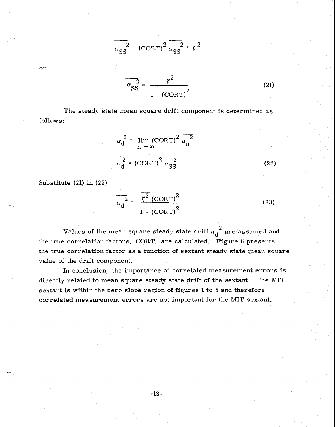$$
\alpha_{\text{SS}}^2 = (\text{CORT})^2 \overline{\alpha_{\text{SS}}^2 + \zeta^2}
$$

or

 $\alpha_{\rm SS}^2$  = *1 -* (CORT) <sup>2</sup>

The steady state mean square drift component is determined as follows:

$$
\frac{\alpha_{\rm d}^{2}}{\alpha_{\rm d}^{2}} = \lim_{n \to \infty} (\text{CORT})^{2} \overline{\alpha_{\rm n}^{2}}
$$

$$
\frac{\alpha_{\rm d}^{2}}{\alpha_{\rm d}^{2}} = (\text{CORT})^{2} \overline{\alpha_{\rm SS}^{2}}
$$
(22)

(21)

Substitute (21) in (22)

$$
\frac{1}{\alpha_{\rm d}^{2}} = \frac{\sqrt{2} (\text{CORT})^{2}}{1 - (\text{CORT})^{2}}
$$
(23)

Values of the mean square steady state drift a d 2 are assumed and the true correlation factors, CORT, are calculated. Figure 6 presents the true correlation factor as a function of sextant steady state mean square value of the drift component.

In conclusion, the importance of correlated measurement errors is directly related to mean square steady state drift of the sextant. The MIT sextant is within the zero slope region of figures 1 to 5 and therefore correlated measurement errors are not important for the, MIT sextant.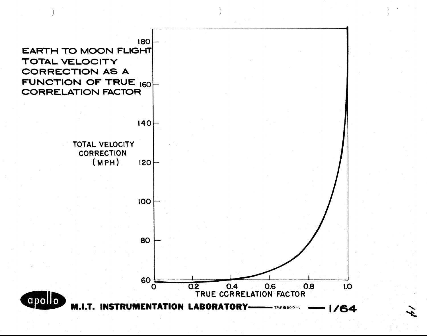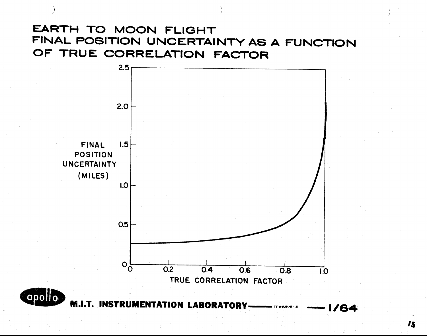# **EARTH TO MOON FLIGHT FINAL POSITION UNCERTAINTY AS A FUNCTION OF TRUE CORRELATION FACTOR**

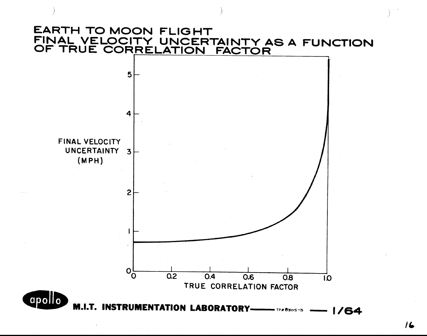## **EARTH TO MOON FLIGHT FINAL VELOCITY UNCERTAINTY AS A FUNCTION OF TRUE CORRELATION FACTOR**

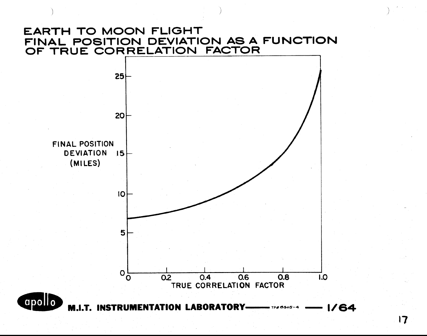## **EARTH TO MOON FLIGHT FINAL POSITION DEVIATION AS A FUNCTION OF TRUE CORRELATION FACTOR**

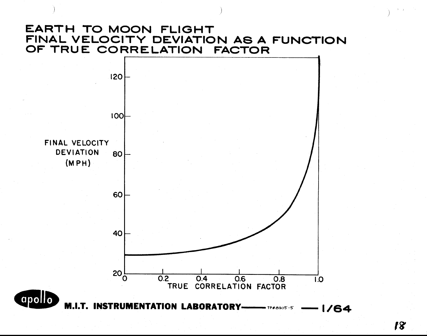## **EARTH TO MOON FLIGHT FINAL VELOCITY DEVIATION AS A FUNCTION OF TRUE CORRELATION FACTOR**